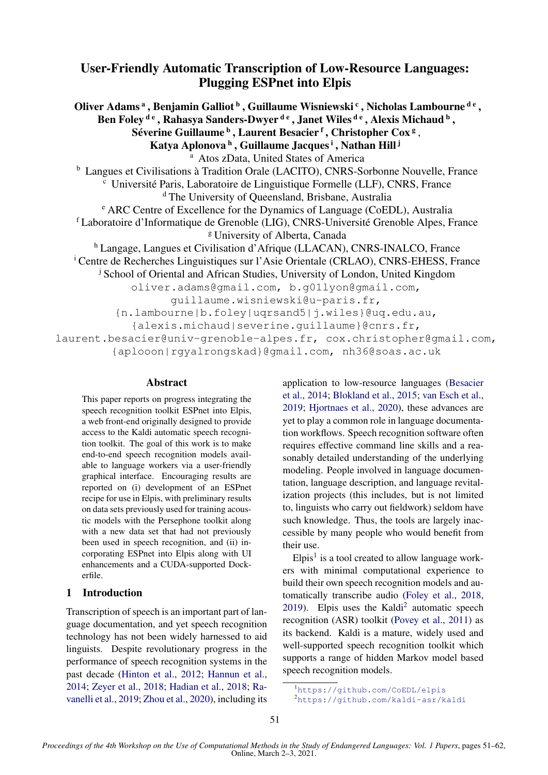# User-Friendly Automatic Transcription of Low-Resource Languages: Plugging ESPnet into Elpis

Oliver Adams <sup>a</sup> , Benjamin Galliot <sup>b</sup> , Guillaume Wisniewski <sup>c</sup> , Nicholas Lambourne <sup>d e</sup> , Ben Foley <sup>de</sup> , Rahasya Sanders-Dwyer <sup>de</sup> , Janet Wiles <sup>de</sup> , Alexis Michaud <sup>b</sup> , Séverine Guillaume  $^{\rm b}$  , Laurent Besacier  $^{\rm f}$  , Christopher Cox  $^{\rm g}$  , Katya Aplonova <sup>h</sup> , Guillaume Jacques <sup>i</sup> , Nathan Hill <sup>j</sup> <sup>a</sup> Atos zData, United States of America <sup>b</sup> Langues et Civilisations à Tradition Orale (LACITO), CNRS-Sorbonne Nouvelle, France <sup>c</sup> Université Paris, Laboratoire de Linguistique Formelle (LLF), CNRS, France <sup>d</sup> The University of Queensland, Brisbane, Australia <sup>e</sup> ARC Centre of Excellence for the Dynamics of Language (CoEDL), Australia <sup>f</sup> Laboratoire d'Informatique de Grenoble (LIG), CNRS-Université Grenoble Alpes, France <sup>g</sup> University of Alberta, Canada <sup>h</sup> Langage, Langues et Civilisation d'Afrique (LLACAN), CNRS-INALCO, France <sup>i</sup> Centre de Recherches Linguistiques sur l'Asie Orientale (CRLAO), CNRS-EHESS, France <sup>j</sup> School of Oriental and African Studies, University of London, United Kingdom oliver.adams@gmail.com, b.g01lyon@gmail.com, guillaume.wisniewski@u-paris.fr, {n.lambourne|b.foley|uqrsand5|j.wiles}@uq.edu.au, {alexis.michaud|severine.guillaume}@cnrs.fr, laurent.besacier@univ-grenoble-alpes.fr, cox.christopher@gmail.com, {aplooon|rgyalrongskad}@gmail.com, nh36@soas.ac.uk

### Abstract

This paper reports on progress integrating the speech recognition toolkit ESPnet into Elpis, a web front-end originally designed to provide access to the Kaldi automatic speech recognition toolkit. The goal of this work is to make end-to-end speech recognition models available to language workers via a user-friendly graphical interface. Encouraging results are reported on (i) development of an ESPnet recipe for use in Elpis, with preliminary results on data sets previously used for training acoustic models with the Persephone toolkit along with a new data set that had not previously been used in speech recognition, and (ii) incorporating ESPnet into Elpis along with UI enhancements and a CUDA-supported Dockerfile.

# 1 Introduction

Transcription of speech is an important part of language documentation, and yet speech recognition technology has not been widely harnessed to aid linguists. Despite revolutionary progress in the performance of speech recognition systems in the past decade [\(Hinton et al.,](#page-9-0) [2012;](#page-9-0) [Hannun et al.,](#page-9-1) [2014;](#page-9-1) [Zeyer et al.,](#page-11-0) [2018;](#page-11-0) [Hadian et al.,](#page-9-2) [2018;](#page-9-2) [Ra](#page-10-0)[vanelli et al.,](#page-10-0) [2019;](#page-10-0) [Zhou et al.,](#page-11-1) [2020\)](#page-11-1), including its application to low-resource languages [\(Besacier](#page-8-0) [et al.,](#page-8-0) [2014;](#page-8-0) [Blokland et al.,](#page-8-1) [2015;](#page-8-1) [van Esch et al.,](#page-8-2) [2019;](#page-8-2) [Hjortnaes et al.,](#page-9-3) [2020\)](#page-9-3), these advances are yet to play a common role in language documentation workflows. Speech recognition software often requires effective command line skills and a reasonably detailed understanding of the underlying modeling. People involved in language documentation, language description, and language revitalization projects (this includes, but is not limited to, linguists who carry out fieldwork) seldom have such knowledge. Thus, the tools are largely inaccessible by many people who would benefit from their use.

Elpis<sup>[1](#page-0-0)</sup> is a tool created to allow language workers with minimal computational experience to build their own speech recognition models and automatically transcribe audio [\(Foley et al.,](#page-9-4) [2018,](#page-9-4)  $2019$  $2019$ ). Elpis uses the Kaldi<sup>2</sup> automatic speech recognition (ASR) toolkit [\(Povey et al.,](#page-10-1) [2011\)](#page-10-1) as its backend. Kaldi is a mature, widely used and well-supported speech recognition toolkit which supports a range of hidden Markov model based speech recognition models.

<span id="page-0-0"></span><sup>1</sup><https://github.com/CoEDL/elpis>

<span id="page-0-1"></span><sup>2</sup><https://github.com/kaldi-asr/kaldi>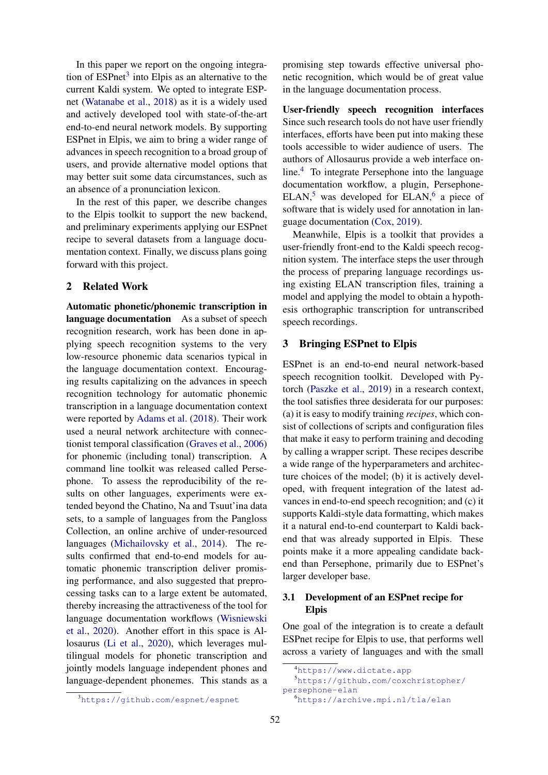In this paper we report on the ongoing integration of  $ESPnet<sup>3</sup>$  $ESPnet<sup>3</sup>$  $ESPnet<sup>3</sup>$  into Elpis as an alternative to the current Kaldi system. We opted to integrate ESPnet [\(Watanabe et al.,](#page-11-2) [2018\)](#page-11-2) as it is a widely used and actively developed tool with state-of-the-art end-to-end neural network models. By supporting ESPnet in Elpis, we aim to bring a wider range of advances in speech recognition to a broad group of users, and provide alternative model options that may better suit some data circumstances, such as an absence of a pronunciation lexicon.

In the rest of this paper, we describe changes to the Elpis toolkit to support the new backend, and preliminary experiments applying our ESPnet recipe to several datasets from a language documentation context. Finally, we discuss plans going forward with this project.

### 2 Related Work

Automatic phonetic/phonemic transcription in language documentation As a subset of speech recognition research, work has been done in applying speech recognition systems to the very low-resource phonemic data scenarios typical in the language documentation context. Encouraging results capitalizing on the advances in speech recognition technology for automatic phonemic transcription in a language documentation context were reported by [Adams et al.](#page-8-3) [\(2018\)](#page-8-3). Their work used a neural network architecture with connectionist temporal classification [\(Graves et al.,](#page-9-6) [2006\)](#page-9-6) for phonemic (including tonal) transcription. A command line toolkit was released called Persephone. To assess the reproducibility of the results on other languages, experiments were extended beyond the Chatino, Na and Tsuut'ina data sets, to a sample of languages from the Pangloss Collection, an online archive of under-resourced languages [\(Michailovsky et al.,](#page-10-2) [2014\)](#page-10-2). The results confirmed that end-to-end models for automatic phonemic transcription deliver promising performance, and also suggested that preprocessing tasks can to a large extent be automated, thereby increasing the attractiveness of the tool for language documentation workflows [\(Wisniewski](#page-11-3) [et al.,](#page-11-3) [2020\)](#page-11-3). Another effort in this space is Allosaurus [\(Li et al.,](#page-9-7) [2020\)](#page-9-7), which leverages multilingual models for phonetic transcription and jointly models language independent phones and language-dependent phonemes. This stands as a promising step towards effective universal phonetic recognition, which would be of great value in the language documentation process.

User-friendly speech recognition interfaces Since such research tools do not have user friendly interfaces, efforts have been put into making these tools accessible to wider audience of users. The authors of Allosaurus provide a web interface online.[4](#page-1-1) To integrate Persephone into the language documentation workflow, a plugin, Persephone- $ELAN<sup>5</sup>$  $ELAN<sup>5</sup>$  $ELAN<sup>5</sup>$  was developed for  $ELAN<sup>6</sup>$  $ELAN<sup>6</sup>$  $ELAN<sup>6</sup>$  a piece of software that is widely used for annotation in language documentation [\(Cox,](#page-8-4) [2019\)](#page-8-4).

Meanwhile, Elpis is a toolkit that provides a user-friendly front-end to the Kaldi speech recognition system. The interface steps the user through the process of preparing language recordings using existing ELAN transcription files, training a model and applying the model to obtain a hypothesis orthographic transcription for untranscribed speech recordings.

#### 3 Bringing ESPnet to Elpis

ESPnet is an end-to-end neural network-based speech recognition toolkit. Developed with Pytorch [\(Paszke et al.,](#page-10-3) [2019\)](#page-10-3) in a research context, the tool satisfies three desiderata for our purposes: (a) it is easy to modify training *recipes*, which consist of collections of scripts and configuration files that make it easy to perform training and decoding by calling a wrapper script. These recipes describe a wide range of the hyperparameters and architecture choices of the model; (b) it is actively developed, with frequent integration of the latest advances in end-to-end speech recognition; and (c) it supports Kaldi-style data formatting, which makes it a natural end-to-end counterpart to Kaldi backend that was already supported in Elpis. These points make it a more appealing candidate backend than Persephone, primarily due to ESPnet's larger developer base.

## <span id="page-1-4"></span>3.1 Development of an ESPnet recipe for Elpis

One goal of the integration is to create a default ESPnet recipe for Elpis to use, that performs well across a variety of languages and with the small

<span id="page-1-2"></span><span id="page-1-1"></span><sup>4</sup><https://www.dictate.app>

<span id="page-1-3"></span><sup>5</sup>[https://github.com/coxchristopher/](https://github.com/coxchristopher/persephone-elan) [persephone-elan](https://github.com/coxchristopher/persephone-elan) <sup>6</sup><https://archive.mpi.nl/tla/elan>

<span id="page-1-0"></span><sup>3</sup><https://github.com/espnet/espnet>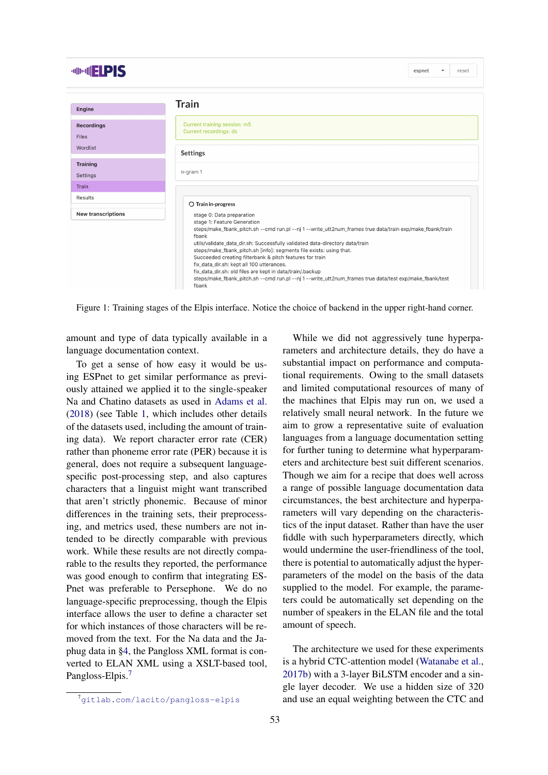| <b>MINNIFIPIS</b>                 |                                                                                                                                                                                                                                                                                                                                                                                                                                                                                                                                                                                                                                 | espnet<br>$\overline{\phantom{a}}$ | reset |  |  |  |  |
|-----------------------------------|---------------------------------------------------------------------------------------------------------------------------------------------------------------------------------------------------------------------------------------------------------------------------------------------------------------------------------------------------------------------------------------------------------------------------------------------------------------------------------------------------------------------------------------------------------------------------------------------------------------------------------|------------------------------------|-------|--|--|--|--|
| Engine                            | Train                                                                                                                                                                                                                                                                                                                                                                                                                                                                                                                                                                                                                           |                                    |       |  |  |  |  |
| <b>Recordings</b><br><b>Files</b> | Current training session: m5<br>Current recordings: ds                                                                                                                                                                                                                                                                                                                                                                                                                                                                                                                                                                          |                                    |       |  |  |  |  |
| Wordlist                          | <b>Settings</b>                                                                                                                                                                                                                                                                                                                                                                                                                                                                                                                                                                                                                 |                                    |       |  |  |  |  |
| <b>Training</b><br>Settings       | n-gram 1                                                                                                                                                                                                                                                                                                                                                                                                                                                                                                                                                                                                                        |                                    |       |  |  |  |  |
| <b>Train</b>                      |                                                                                                                                                                                                                                                                                                                                                                                                                                                                                                                                                                                                                                 |                                    |       |  |  |  |  |
| Results                           | ○ Train in-progress                                                                                                                                                                                                                                                                                                                                                                                                                                                                                                                                                                                                             |                                    |       |  |  |  |  |
| <b>New transcriptions</b>         | stage 0: Data preparation<br>stage 1: Feature Generation<br>steps/make_fbank_pitch.sh --cmd run.pl --nj 1 --write_utt2num_frames true data/train exp/make_fbank/train<br>fbank<br>utils/validate_data_dir.sh: Successfully validated data-directory data/train<br>steps/make_fbank_pitch.sh [info]: segments file exists: using that.<br>Succeeded creating filterbank & pitch features for train<br>fix_data_dir.sh: kept all 100 utterances.<br>fix_data_dir.sh: old files are kept in data/train/.backup<br>steps/make_fbank_pitch.sh --cmd run.pl --nj 1 --write_utt2num_frames true data/test exp/make_fbank/test<br>fbank |                                    |       |  |  |  |  |

<span id="page-2-1"></span>Figure 1: Training stages of the Elpis interface. Notice the choice of backend in the upper right-hand corner.

amount and type of data typically available in a language documentation context.

To get a sense of how easy it would be using ESPnet to get similar performance as previously attained we applied it to the single-speaker Na and Chatino datasets as used in [Adams et al.](#page-8-3) [\(2018\)](#page-8-3) (see Table [1,](#page-3-0) which includes other details of the datasets used, including the amount of training data). We report character error rate (CER) rather than phoneme error rate (PER) because it is general, does not require a subsequent languagespecific post-processing step, and also captures characters that a linguist might want transcribed that aren't strictly phonemic. Because of minor differences in the training sets, their preprocessing, and metrics used, these numbers are not intended to be directly comparable with previous work. While these results are not directly comparable to the results they reported, the performance was good enough to confirm that integrating ES-Pnet was preferable to Persephone. We do no language-specific preprocessing, though the Elpis interface allows the user to define a character set for which instances of those characters will be removed from the text. For the Na data and the Japhug data in [§4,](#page-3-1) the Pangloss XML format is converted to ELAN XML using a XSLT-based tool, Pangloss-Elpis.<sup>[7](#page-2-0)</sup>

The architecture we used for these experiments is a hybrid CTC-attention model [\(Watanabe et al.,](#page-11-4) [2017b\)](#page-11-4) with a 3-layer BiLSTM encoder and a single layer decoder. We use a hidden size of 320 and use an equal weighting between the CTC and

While we did not aggressively tune hyperparameters and architecture details, they do have a substantial impact on performance and computational requirements. Owing to the small datasets and limited computational resources of many of the machines that Elpis may run on, we used a relatively small neural network. In the future we aim to grow a representative suite of evaluation languages from a language documentation setting for further tuning to determine what hyperparameters and architecture best suit different scenarios. Though we aim for a recipe that does well across a range of possible language documentation data circumstances, the best architecture and hyperparameters will vary depending on the characteristics of the input dataset. Rather than have the user fiddle with such hyperparameters directly, which would undermine the user-friendliness of the tool, there is potential to automatically adjust the hyperparameters of the model on the basis of the data supplied to the model. For example, the parameters could be automatically set depending on the number of speakers in the ELAN file and the total amount of speech.

<span id="page-2-0"></span><sup>7</sup><gitlab.com/lacito/pangloss-elpis>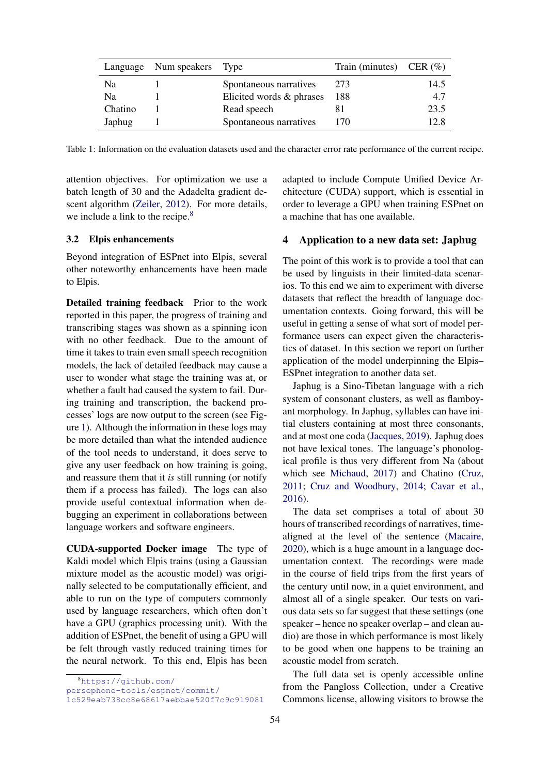|         | Language Num speakers Type |                          | Train (minutes) CER $(\% )$ |      |
|---------|----------------------------|--------------------------|-----------------------------|------|
| Na      |                            | Spontaneous narratives   | 273                         | 14.5 |
| Na      |                            | Elicited words & phrases | 188                         | 4.7  |
| Chatino |                            | Read speech              |                             | 23.5 |
| Japhug  |                            | Spontaneous narratives   | 170                         | 12.8 |

<span id="page-3-0"></span>Table 1: Information on the evaluation datasets used and the character error rate performance of the current recipe.

attention objectives. For optimization we use a batch length of 30 and the Adadelta gradient descent algorithm [\(Zeiler,](#page-11-5) [2012\)](#page-11-5). For more details, we include a link to the recipe.<sup>[8](#page-3-2)</sup>

#### <span id="page-3-3"></span>3.2 Elpis enhancements

Beyond integration of ESPnet into Elpis, several other noteworthy enhancements have been made to Elpis.

Detailed training feedback Prior to the work reported in this paper, the progress of training and transcribing stages was shown as a spinning icon with no other feedback. Due to the amount of time it takes to train even small speech recognition models, the lack of detailed feedback may cause a user to wonder what stage the training was at, or whether a fault had caused the system to fail. During training and transcription, the backend processes' logs are now output to the screen (see Figure [1\)](#page-2-1). Although the information in these logs may be more detailed than what the intended audience of the tool needs to understand, it does serve to give any user feedback on how training is going, and reassure them that it *is* still running (or notify them if a process has failed). The logs can also provide useful contextual information when debugging an experiment in collaborations between language workers and software engineers.

CUDA-supported Docker image The type of Kaldi model which Elpis trains (using a Gaussian mixture model as the acoustic model) was originally selected to be computationally efficient, and able to run on the type of computers commonly used by language researchers, which often don't have a GPU (graphics processing unit). With the addition of ESPnet, the benefit of using a GPU will be felt through vastly reduced training times for the neural network. To this end, Elpis has been adapted to include Compute Unified Device Architecture (CUDA) support, which is essential in order to leverage a GPU when training ESPnet on a machine that has one available.

### <span id="page-3-1"></span>4 Application to a new data set: Japhug

The point of this work is to provide a tool that can be used by linguists in their limited-data scenarios. To this end we aim to experiment with diverse datasets that reflect the breadth of language documentation contexts. Going forward, this will be useful in getting a sense of what sort of model performance users can expect given the characteristics of dataset. In this section we report on further application of the model underpinning the Elpis– ESPnet integration to another data set.

Japhug is a Sino-Tibetan language with a rich system of consonant clusters, as well as flamboyant morphology. In Japhug, syllables can have initial clusters containing at most three consonants, and at most one coda [\(Jacques,](#page-9-8) [2019\)](#page-9-8). Japhug does not have lexical tones. The language's phonological profile is thus very different from Na (about which see [Michaud,](#page-10-4) [2017\)](#page-10-4) and Chatino [\(Cruz,](#page-8-5) [2011;](#page-8-5) [Cruz and Woodbury,](#page-8-6) [2014;](#page-8-6) [Cavar et al.,](#page-8-7) [2016\)](#page-8-7).

The data set comprises a total of about 30 hours of transcribed recordings of narratives, timealigned at the level of the sentence [\(Macaire,](#page-10-5) [2020\)](#page-10-5), which is a huge amount in a language documentation context. The recordings were made in the course of field trips from the first years of the century until now, in a quiet environment, and almost all of a single speaker. Our tests on various data sets so far suggest that these settings (one speaker – hence no speaker overlap – and clean audio) are those in which performance is most likely to be good when one happens to be training an acoustic model from scratch.

The full data set is openly accessible online from the Pangloss Collection, under a Creative Commons license, allowing visitors to browse the

<span id="page-3-2"></span><sup>8</sup>[https://github.com/](https://github.com/persephone-tools/espnet/commit/1c529eab738cc8e68617aebbae520f7c9c919081)

[persephone-tools/espnet/commit/](https://github.com/persephone-tools/espnet/commit/1c529eab738cc8e68617aebbae520f7c9c919081)

[<sup>1</sup>c529eab738cc8e68617aebbae520f7c9c919081](https://github.com/persephone-tools/espnet/commit/1c529eab738cc8e68617aebbae520f7c9c919081)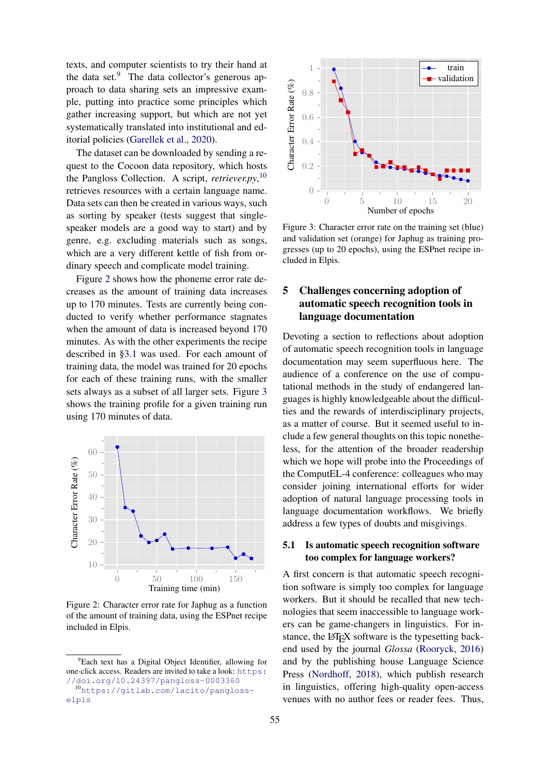texts, and computer scientists to try their hand at the data set. $9$  The data collector's generous approach to data sharing sets an impressive example, putting into practice some principles which gather increasing support, but which are not yet systematically translated into institutional and editorial policies [\(Garellek et al.,](#page-9-9) [2020\)](#page-9-9).

The dataset can be downloaded by sending a request to the Cocoon data repository, which hosts the Pangloss Collection. A script, *retriever.py*, [10](#page-4-1) retrieves resources with a certain language name. Data sets can then be created in various ways, such as sorting by speaker (tests suggest that singlespeaker models are a good way to start) and by genre, e.g. excluding materials such as songs, which are a very different kettle of fish from ordinary speech and complicate model training.

Figure [2](#page-4-2) shows how the phoneme error rate decreases as the amount of training data increases up to 170 minutes. Tests are currently being conducted to verify whether performance stagnates when the amount of data is increased beyond 170 minutes. As with the other experiments the recipe described in [§3.1](#page-1-4) was used. For each amount of training data, the model was trained for 20 epochs for each of these training runs, with the smaller sets always as a subset of all larger sets. Figure [3](#page-4-3) shows the training profile for a given training run using 170 minutes of data.



<span id="page-4-2"></span>Figure 2: Character error rate for Japhug as a function of the amount of training data, using the ESPnet recipe included in Elpis.



<span id="page-4-3"></span>Figure 3: Character error rate on the training set (blue) and validation set (orange) for Japhug as training progresses (up to 20 epochs), using the ESPnet recipe included in Elpis.

## 5 Challenges concerning adoption of automatic speech recognition tools in language documentation

Devoting a section to reflections about adoption of automatic speech recognition tools in language documentation may seem superfluous here. The audience of a conference on the use of computational methods in the study of endangered languages is highly knowledgeable about the difficulties and the rewards of interdisciplinary projects, as a matter of course. But it seemed useful to include a few general thoughts on this topic nonetheless, for the attention of the broader readership which we hope will probe into the Proceedings of the ComputEL-4 conference: colleagues who may consider joining international efforts for wider adoption of natural language processing tools in language documentation workflows. We briefly address a few types of doubts and misgivings.

### 5.1 Is automatic speech recognition software too complex for language workers?

A first concern is that automatic speech recognition software is simply too complex for language workers. But it should be recalled that new technologies that seem inaccessible to language workers can be game-changers in linguistics. For instance, the LAT<sub>E</sub>X software is the typesetting backend used by the journal *Glossa* [\(Rooryck,](#page-10-6) [2016\)](#page-10-6) and by the publishing house Language Science Press [\(Nordhoff,](#page-10-7) [2018\)](#page-10-7), which publish research in linguistics, offering high-quality open-access venues with no author fees or reader fees. Thus,

<span id="page-4-0"></span><sup>9</sup>Each text has a Digital Object Identifier, allowing for one-click access. Readers are invited to take a look: [https:](https://doi.org/10.24397/pangloss-0003360) [//doi.org/10.24397/pangloss-0003360](https://doi.org/10.24397/pangloss-0003360)

<span id="page-4-1"></span><sup>10</sup>[https://gitlab.com/lacito/pangloss](https://gitlab.com/lacito/pangloss-elpis)[elpis](https://gitlab.com/lacito/pangloss-elpis)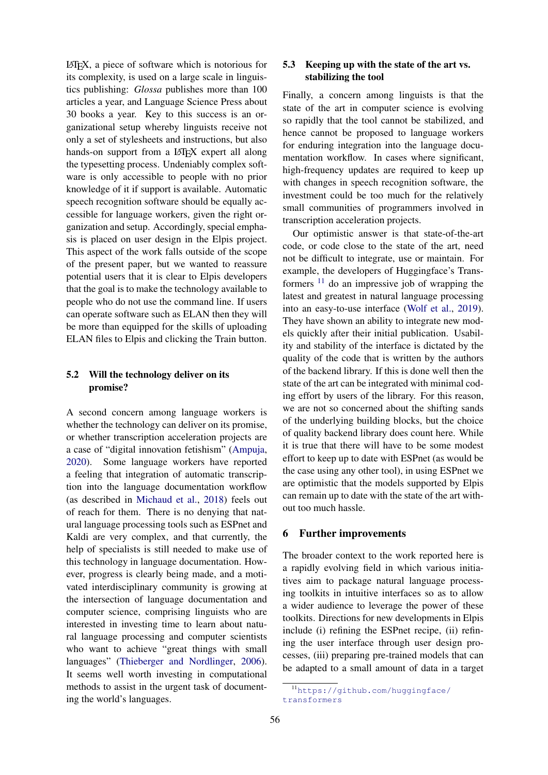LATEX, a piece of software which is notorious for its complexity, is used on a large scale in linguistics publishing: *Glossa* publishes more than 100 articles a year, and Language Science Press about 30 books a year. Key to this success is an organizational setup whereby linguists receive not only a set of stylesheets and instructions, but also hands-on support from a LAT<sub>EX</sub> expert all along the typesetting process. Undeniably complex software is only accessible to people with no prior knowledge of it if support is available. Automatic speech recognition software should be equally accessible for language workers, given the right organization and setup. Accordingly, special emphasis is placed on user design in the Elpis project. This aspect of the work falls outside of the scope of the present paper, but we wanted to reassure potential users that it is clear to Elpis developers that the goal is to make the technology available to people who do not use the command line. If users can operate software such as ELAN then they will be more than equipped for the skills of uploading ELAN files to Elpis and clicking the Train button.

## 5.2 Will the technology deliver on its promise?

A second concern among language workers is whether the technology can deliver on its promise, or whether transcription acceleration projects are a case of "digital innovation fetishism" [\(Ampuja,](#page-8-8) [2020\)](#page-8-8). Some language workers have reported a feeling that integration of automatic transcription into the language documentation workflow (as described in [Michaud et al.,](#page-10-8) [2018\)](#page-10-8) feels out of reach for them. There is no denying that natural language processing tools such as ESPnet and Kaldi are very complex, and that currently, the help of specialists is still needed to make use of this technology in language documentation. However, progress is clearly being made, and a motivated interdisciplinary community is growing at the intersection of language documentation and computer science, comprising linguists who are interested in investing time to learn about natural language processing and computer scientists who want to achieve "great things with small languages" [\(Thieberger and Nordlinger,](#page-11-6) [2006\)](#page-11-6). It seems well worth investing in computational methods to assist in the urgent task of documenting the world's languages.

## 5.3 Keeping up with the state of the art vs. stabilizing the tool

Finally, a concern among linguists is that the state of the art in computer science is evolving so rapidly that the tool cannot be stabilized, and hence cannot be proposed to language workers for enduring integration into the language documentation workflow. In cases where significant, high-frequency updates are required to keep up with changes in speech recognition software, the investment could be too much for the relatively small communities of programmers involved in transcription acceleration projects.

Our optimistic answer is that state-of-the-art code, or code close to the state of the art, need not be difficult to integrate, use or maintain. For example, the developers of Huggingface's Transformers [11](#page-5-0) do an impressive job of wrapping the latest and greatest in natural language processing into an easy-to-use interface [\(Wolf et al.,](#page-11-7) [2019\)](#page-11-7). They have shown an ability to integrate new models quickly after their initial publication. Usability and stability of the interface is dictated by the quality of the code that is written by the authors of the backend library. If this is done well then the state of the art can be integrated with minimal coding effort by users of the library. For this reason, we are not so concerned about the shifting sands of the underlying building blocks, but the choice of quality backend library does count here. While it is true that there will have to be some modest effort to keep up to date with ESPnet (as would be the case using any other tool), in using ESPnet we are optimistic that the models supported by Elpis can remain up to date with the state of the art without too much hassle.

#### 6 Further improvements

The broader context to the work reported here is a rapidly evolving field in which various initiatives aim to package natural language processing toolkits in intuitive interfaces so as to allow a wider audience to leverage the power of these toolkits. Directions for new developments in Elpis include (i) refining the ESPnet recipe, (ii) refining the user interface through user design processes, (iii) preparing pre-trained models that can be adapted to a small amount of data in a target

<span id="page-5-0"></span><sup>11</sup>[https://github.com/huggingface/](https://github.com/huggingface/transformers) [transformers](https://github.com/huggingface/transformers)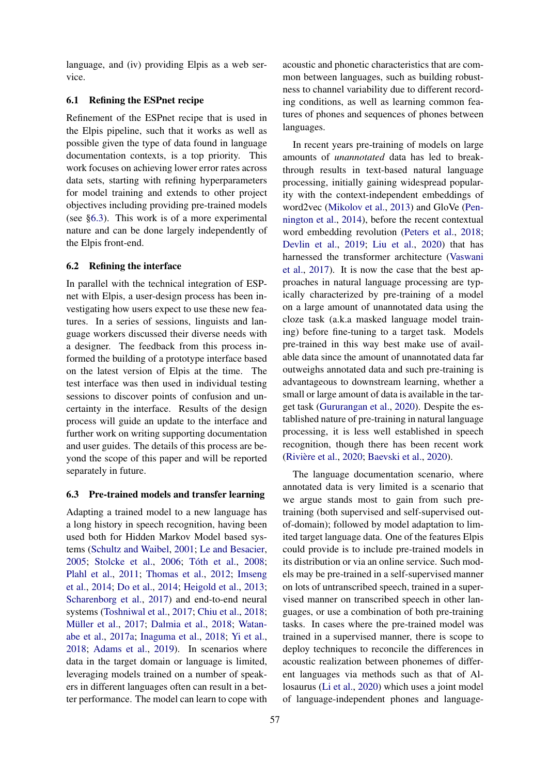language, and (iv) providing Elpis as a web service.

### 6.1 Refining the ESPnet recipe

Refinement of the ESPnet recipe that is used in the Elpis pipeline, such that it works as well as possible given the type of data found in language documentation contexts, is a top priority. This work focuses on achieving lower error rates across data sets, starting with refining hyperparameters for model training and extends to other project objectives including providing pre-trained models (see [§6.3\)](#page-6-0). This work is of a more experimental nature and can be done largely independently of the Elpis front-end.

#### 6.2 Refining the interface

In parallel with the technical integration of ESPnet with Elpis, a user-design process has been investigating how users expect to use these new features. In a series of sessions, linguists and language workers discussed their diverse needs with a designer. The feedback from this process informed the building of a prototype interface based on the latest version of Elpis at the time. The test interface was then used in individual testing sessions to discover points of confusion and uncertainty in the interface. Results of the design process will guide an update to the interface and further work on writing supporting documentation and user guides. The details of this process are beyond the scope of this paper and will be reported separately in future.

#### <span id="page-6-0"></span>6.3 Pre-trained models and transfer learning

Adapting a trained model to a new language has a long history in speech recognition, having been used both for Hidden Markov Model based systems [\(Schultz and Waibel,](#page-10-9) [2001;](#page-10-9) [Le and Besacier,](#page-9-10) [2005;](#page-9-10) [Stolcke et al.,](#page-11-8) [2006;](#page-11-8) [Tóth et al.,](#page-11-9) [2008;](#page-11-9) [Plahl et al.,](#page-10-10) [2011;](#page-10-10) [Thomas et al.,](#page-11-10) [2012;](#page-11-10) [Imseng](#page-9-11) [et al.,](#page-9-11) [2014;](#page-9-11) [Do et al.,](#page-8-9) [2014;](#page-8-9) [Heigold et al.,](#page-9-12) [2013;](#page-9-12) [Scharenborg et al.,](#page-10-11) [2017\)](#page-10-11) and end-to-end neural systems [\(Toshniwal et al.,](#page-11-11) [2017;](#page-11-11) [Chiu et al.,](#page-8-10) [2018;](#page-8-10) [Müller et al.,](#page-10-12) [2017;](#page-10-12) [Dalmia et al.,](#page-8-11) [2018;](#page-8-11) [Watan](#page-11-12)[abe et al.,](#page-11-12) [2017a;](#page-11-12) [Inaguma et al.,](#page-9-13) [2018;](#page-9-13) [Yi et al.,](#page-11-13) [2018;](#page-11-13) [Adams et al.,](#page-8-12) [2019\)](#page-8-12). In scenarios where data in the target domain or language is limited, leveraging models trained on a number of speakers in different languages often can result in a better performance. The model can learn to cope with

acoustic and phonetic characteristics that are common between languages, such as building robustness to channel variability due to different recording conditions, as well as learning common features of phones and sequences of phones between languages.

In recent years pre-training of models on large amounts of *unannotated* data has led to breakthrough results in text-based natural language processing, initially gaining widespread popularity with the context-independent embeddings of word2vec [\(Mikolov et al.,](#page-10-13) [2013\)](#page-10-13) and GloVe [\(Pen](#page-10-14)[nington et al.,](#page-10-14) [2014\)](#page-10-14), before the recent contextual word embedding revolution [\(Peters et al.,](#page-10-15) [2018;](#page-10-15) [Devlin et al.,](#page-8-13) [2019;](#page-8-13) [Liu et al.,](#page-10-16) [2020\)](#page-10-16) that has harnessed the transformer architecture [\(Vaswani](#page-11-14) [et al.,](#page-11-14) [2017\)](#page-11-14). It is now the case that the best approaches in natural language processing are typically characterized by pre-training of a model on a large amount of unannotated data using the cloze task (a.k.a masked language model training) before fine-tuning to a target task. Models pre-trained in this way best make use of available data since the amount of unannotated data far outweighs annotated data and such pre-training is advantageous to downstream learning, whether a small or large amount of data is available in the target task [\(Gururangan et al.,](#page-9-14) [2020\)](#page-9-14). Despite the established nature of pre-training in natural language processing, it is less well established in speech recognition, though there has been recent work [\(Rivière et al.,](#page-10-17) [2020;](#page-10-17) [Baevski et al.,](#page-8-14) [2020\)](#page-8-14).

The language documentation scenario, where annotated data is very limited is a scenario that we argue stands most to gain from such pretraining (both supervised and self-supervised outof-domain); followed by model adaptation to limited target language data. One of the features Elpis could provide is to include pre-trained models in its distribution or via an online service. Such models may be pre-trained in a self-supervised manner on lots of untranscribed speech, trained in a supervised manner on transcribed speech in other languages, or use a combination of both pre-training tasks. In cases where the pre-trained model was trained in a supervised manner, there is scope to deploy techniques to reconcile the differences in acoustic realization between phonemes of different languages via methods such as that of Allosaurus [\(Li et al.,](#page-9-7) [2020\)](#page-9-7) which uses a joint model of language-independent phones and language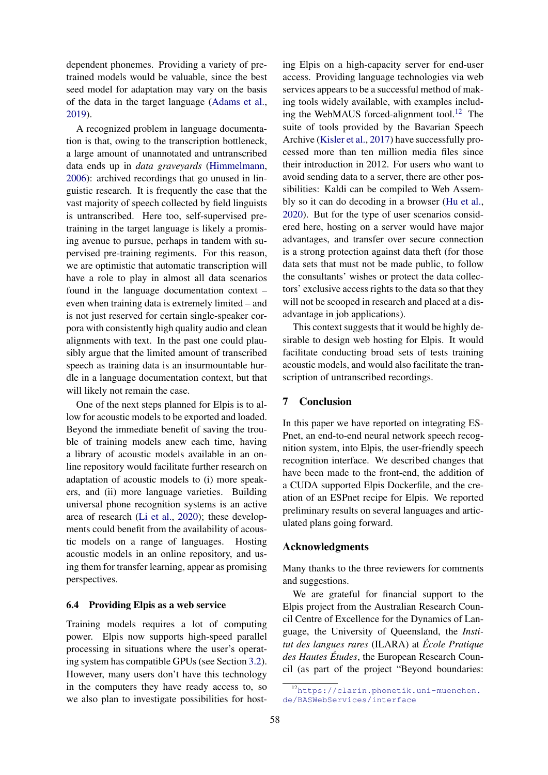dependent phonemes. Providing a variety of pretrained models would be valuable, since the best seed model for adaptation may vary on the basis of the data in the target language [\(Adams et al.,](#page-8-12) [2019\)](#page-8-12).

A recognized problem in language documentation is that, owing to the transcription bottleneck, a large amount of unannotated and untranscribed data ends up in *data graveyards* [\(Himmelmann,](#page-9-15) [2006\)](#page-9-15): archived recordings that go unused in linguistic research. It is frequently the case that the vast majority of speech collected by field linguists is untranscribed. Here too, self-supervised pretraining in the target language is likely a promising avenue to pursue, perhaps in tandem with supervised pre-training regiments. For this reason, we are optimistic that automatic transcription will have a role to play in almost all data scenarios found in the language documentation context – even when training data is extremely limited – and is not just reserved for certain single-speaker corpora with consistently high quality audio and clean alignments with text. In the past one could plausibly argue that the limited amount of transcribed speech as training data is an insurmountable hurdle in a language documentation context, but that will likely not remain the case.

One of the next steps planned for Elpis is to allow for acoustic models to be exported and loaded. Beyond the immediate benefit of saving the trouble of training models anew each time, having a library of acoustic models available in an online repository would facilitate further research on adaptation of acoustic models to (i) more speakers, and (ii) more language varieties. Building universal phone recognition systems is an active area of research [\(Li et al.,](#page-9-7) [2020\)](#page-9-7); these developments could benefit from the availability of acoustic models on a range of languages. Hosting acoustic models in an online repository, and using them for transfer learning, appear as promising perspectives.

#### 6.4 Providing Elpis as a web service

Training models requires a lot of computing power. Elpis now supports high-speed parallel processing in situations where the user's operating system has compatible GPUs (see Section [3.2\)](#page-3-3). However, many users don't have this technology in the computers they have ready access to, so we also plan to investigate possibilities for host-

ing Elpis on a high-capacity server for end-user access. Providing language technologies via web services appears to be a successful method of making tools widely available, with examples includ-ing the WebMAUS forced-alignment tool.<sup>[12](#page-7-0)</sup> The suite of tools provided by the Bavarian Speech Archive [\(Kisler et al.,](#page-9-16) [2017\)](#page-9-16) have successfully processed more than ten million media files since their introduction in 2012. For users who want to avoid sending data to a server, there are other possibilities: Kaldi can be compiled to Web Assembly so it can do decoding in a browser [\(Hu et al.,](#page-9-17) [2020\)](#page-9-17). But for the type of user scenarios considered here, hosting on a server would have major advantages, and transfer over secure connection is a strong protection against data theft (for those data sets that must not be made public, to follow the consultants' wishes or protect the data collectors' exclusive access rights to the data so that they will not be scooped in research and placed at a disadvantage in job applications).

This context suggests that it would be highly desirable to design web hosting for Elpis. It would facilitate conducting broad sets of tests training acoustic models, and would also facilitate the transcription of untranscribed recordings.

### 7 Conclusion

In this paper we have reported on integrating ES-Pnet, an end-to-end neural network speech recognition system, into Elpis, the user-friendly speech recognition interface. We described changes that have been made to the front-end, the addition of a CUDA supported Elpis Dockerfile, and the creation of an ESPnet recipe for Elpis. We reported preliminary results on several languages and articulated plans going forward.

#### Acknowledgments

Many thanks to the three reviewers for comments and suggestions.

We are grateful for financial support to the Elpis project from the Australian Research Council Centre of Excellence for the Dynamics of Language, the University of Queensland, the *Institut des langues rares* (ILARA) at *École Pratique des Hautes Études*, the European Research Council (as part of the project "Beyond boundaries:

<span id="page-7-0"></span><sup>12</sup>[https://clarin.phonetik.uni-muenchen.](https://clarin.phonetik.uni-muenchen.de/BASWebServices/interface) [de/BASWebServices/interface](https://clarin.phonetik.uni-muenchen.de/BASWebServices/interface)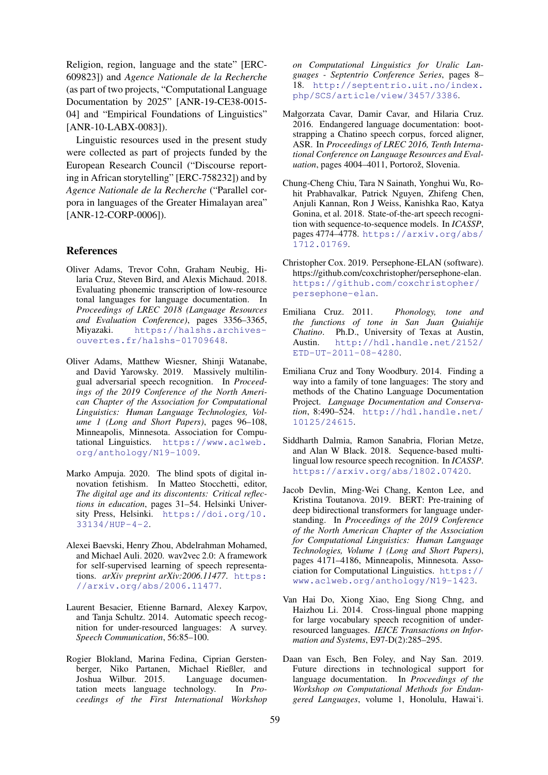Religion, region, language and the state" [ERC-609823]) and *Agence Nationale de la Recherche* (as part of two projects, "Computational Language Documentation by 2025" [ANR-19-CE38-0015- 04] and "Empirical Foundations of Linguistics" [ANR-10-LABX-0083]).

Linguistic resources used in the present study were collected as part of projects funded by the European Research Council ("Discourse reporting in African storytelling" [ERC-758232]) and by *Agence Nationale de la Recherche* ("Parallel corpora in languages of the Greater Himalayan area" [ANR-12-CORP-0006]).

#### References

- <span id="page-8-3"></span>Oliver Adams, Trevor Cohn, Graham Neubig, Hilaria Cruz, Steven Bird, and Alexis Michaud. 2018. Evaluating phonemic transcription of low-resource tonal languages for language documentation. In *Proceedings of LREC 2018 (Language Resources and Evaluation Conference)*, pages 3356–3365, Miyazaki. [https://halshs.archives](https://halshs.archives-ouvertes.fr/halshs-01709648)[ouvertes.fr/halshs-01709648](https://halshs.archives-ouvertes.fr/halshs-01709648).
- <span id="page-8-12"></span>Oliver Adams, Matthew Wiesner, Shinji Watanabe, and David Yarowsky. 2019. Massively multilingual adversarial speech recognition. In *Proceedings of the 2019 Conference of the North American Chapter of the Association for Computational Linguistics: Human Language Technologies, Volume 1 (Long and Short Papers)*, pages 96–108, Minneapolis, Minnesota. Association for Computational Linguistics. [https://www.aclweb.](https://www.aclweb.org/anthology/N19-1009) [org/anthology/N19-1009](https://www.aclweb.org/anthology/N19-1009).
- <span id="page-8-8"></span>Marko Ampuja. 2020. The blind spots of digital innovation fetishism. In Matteo Stocchetti, editor, *The digital age and its discontents: Critical reflections in education*, pages 31–54. Helsinki University Press, Helsinki. [https://doi.org/10.](https://doi.org/10.33134/HUP-4-2) [33134/HUP-4-2](https://doi.org/10.33134/HUP-4-2).
- <span id="page-8-14"></span>Alexei Baevski, Henry Zhou, Abdelrahman Mohamed, and Michael Auli. 2020. wav2vec 2.0: A framework for self-supervised learning of speech representations. *arXiv preprint arXiv:2006.11477*. [https:](https://arxiv.org/abs/2006.11477) [//arxiv.org/abs/2006.11477](https://arxiv.org/abs/2006.11477).
- <span id="page-8-0"></span>Laurent Besacier, Etienne Barnard, Alexey Karpov, and Tanja Schultz. 2014. Automatic speech recognition for under-resourced languages: A survey. *Speech Communication*, 56:85–100.
- <span id="page-8-1"></span>Rogier Blokland, Marina Fedina, Ciprian Gerstenberger, Niko Partanen, Michael Rießler, and<br>Joshua Wilbur. 2015. Language documen-Joshua Wilbur. 2015. tation meets language technology. In *Proceedings of the First International Workshop*

*on Computational Linguistics for Uralic Languages - Septentrio Conference Series*, pages 8– 18. [http://septentrio.uit.no/index.](http://septentrio.uit.no/index.php/SCS/article/view/3457/3386) [php/SCS/article/view/3457/3386](http://septentrio.uit.no/index.php/SCS/article/view/3457/3386).

- <span id="page-8-7"></span>Małgorzata Cavar, Damir Cavar, and Hilaria Cruz. 2016. Endangered language documentation: bootstrapping a Chatino speech corpus, forced aligner, ASR. In *Proceedings of LREC 2016, Tenth International Conference on Language Resources and Evaluation*, pages 4004–4011, Portorož, Slovenia.
- <span id="page-8-10"></span>Chung-Cheng Chiu, Tara N Sainath, Yonghui Wu, Rohit Prabhavalkar, Patrick Nguyen, Zhifeng Chen, Anjuli Kannan, Ron J Weiss, Kanishka Rao, Katya Gonina, et al. 2018. State-of-the-art speech recognition with sequence-to-sequence models. In *ICASSP*, pages 4774–4778. [https://arxiv.org/abs/](https://arxiv.org/abs/1712.01769) [1712.01769](https://arxiv.org/abs/1712.01769).
- <span id="page-8-4"></span>Christopher Cox. 2019. Persephone-ELAN (software). https://github.com/coxchristopher/persephone-elan. [https://github.com/coxchristopher/](https://github.com/coxchristopher/persephone-elan) [persephone-elan](https://github.com/coxchristopher/persephone-elan).
- <span id="page-8-5"></span>Emiliana Cruz. 2011. *Phonology, tone and the functions of tone in San Juan Quiahije Chatino*. Ph.D., University of Texas at Austin, Austin. [http://hdl.handle.net/2152/](http://hdl.handle.net/2152/ETD-UT-2011-08-4280) [ETD-UT-2011-08-4280](http://hdl.handle.net/2152/ETD-UT-2011-08-4280).
- <span id="page-8-6"></span>Emiliana Cruz and Tony Woodbury. 2014. Finding a way into a family of tone languages: The story and methods of the Chatino Language Documentation Project. *Language Documentation and Conservation*, 8:490–524. [http://hdl.handle.net/](http://hdl.handle.net/10125/24615) [10125/24615](http://hdl.handle.net/10125/24615).
- <span id="page-8-11"></span>Siddharth Dalmia, Ramon Sanabria, Florian Metze, and Alan W Black. 2018. Sequence-based multilingual low resource speech recognition. In *ICASSP*. <https://arxiv.org/abs/1802.07420>.
- <span id="page-8-13"></span>Jacob Devlin, Ming-Wei Chang, Kenton Lee, and Kristina Toutanova. 2019. BERT: Pre-training of deep bidirectional transformers for language understanding. In *Proceedings of the 2019 Conference of the North American Chapter of the Association for Computational Linguistics: Human Language Technologies, Volume 1 (Long and Short Papers)*, pages 4171–4186, Minneapolis, Minnesota. Association for Computational Linguistics. [https://](https://www.aclweb.org/anthology/N19-1423) [www.aclweb.org/anthology/N19-1423](https://www.aclweb.org/anthology/N19-1423).
- <span id="page-8-9"></span>Van Hai Do, Xiong Xiao, Eng Siong Chng, and Haizhou Li. 2014. Cross-lingual phone mapping for large vocabulary speech recognition of underresourced languages. *IEICE Transactions on Information and Systems*, E97-D(2):285–295.
- <span id="page-8-2"></span>Daan van Esch, Ben Foley, and Nay San. 2019. Future directions in technological support for language documentation. In *Proceedings of the Workshop on Computational Methods for Endangered Languages*, volume 1, Honolulu, Hawai'i.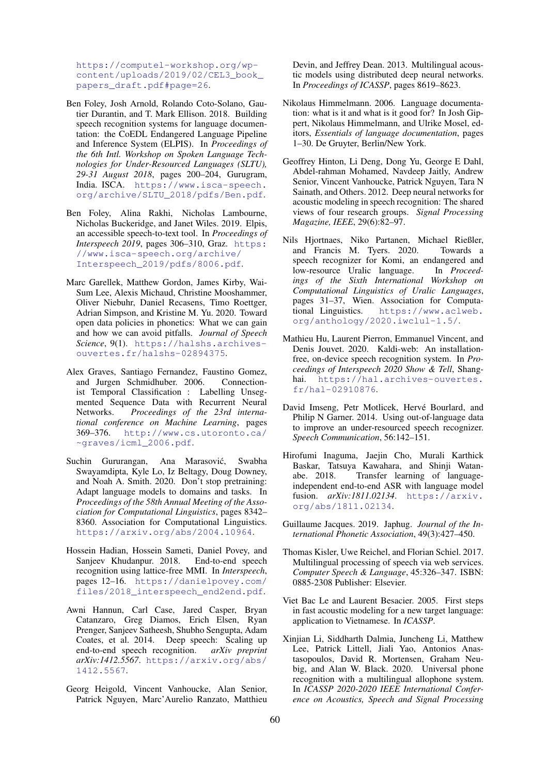[https://computel-workshop.org/wp](https://computel-workshop.org/wp-content/uploads/2019/02/CEL3_book_papers_draft.pdf#page=26)[content/uploads/2019/02/CEL3\\_book\\_](https://computel-workshop.org/wp-content/uploads/2019/02/CEL3_book_papers_draft.pdf#page=26) [papers\\_draft.pdf#page=26](https://computel-workshop.org/wp-content/uploads/2019/02/CEL3_book_papers_draft.pdf#page=26).

- <span id="page-9-4"></span>Ben Foley, Josh Arnold, Rolando Coto-Solano, Gautier Durantin, and T. Mark Ellison. 2018. Building speech recognition systems for language documentation: the CoEDL Endangered Language Pipeline and Inference System (ELPIS). In *Proceedings of the 6th Intl. Workshop on Spoken Language Technologies for Under-Resourced Languages (SLTU), 29-31 August 2018*, pages 200–204, Gurugram, India. ISCA. [https://www.isca-speech.](https://www.isca-speech.org/archive/SLTU_2018/pdfs/Ben.pdf) [org/archive/SLTU\\_2018/pdfs/Ben.pdf](https://www.isca-speech.org/archive/SLTU_2018/pdfs/Ben.pdf).
- <span id="page-9-5"></span>Ben Foley, Alina Rakhi, Nicholas Lambourne, Nicholas Buckeridge, and Janet Wiles. 2019. Elpis, an accessible speech-to-text tool. In *Proceedings of Interspeech 2019*, pages 306–310, Graz. [https:](https://www.isca-speech.org/archive/Interspeech_2019/pdfs/8006.pdf) [//www.isca-speech.org/archive/](https://www.isca-speech.org/archive/Interspeech_2019/pdfs/8006.pdf) [Interspeech\\_2019/pdfs/8006.pdf](https://www.isca-speech.org/archive/Interspeech_2019/pdfs/8006.pdf).
- <span id="page-9-9"></span>Marc Garellek, Matthew Gordon, James Kirby, Wai-Sum Lee, Alexis Michaud, Christine Mooshammer, Oliver Niebuhr, Daniel Recasens, Timo Roettger, Adrian Simpson, and Kristine M. Yu. 2020. Toward open data policies in phonetics: What we can gain and how we can avoid pitfalls. *Journal of Speech Science*, 9(1). [https://halshs.archives](https://halshs.archives-ouvertes.fr/halshs-02894375)[ouvertes.fr/halshs-02894375](https://halshs.archives-ouvertes.fr/halshs-02894375).
- <span id="page-9-6"></span>Alex Graves, Santiago Fernandez, Faustino Gomez, and Jurgen Schmidhuber. 2006. Connectionist Temporal Classification : Labelling Unsegmented Sequence Data with Recurrent Neural Networks. *Proceedings of the 23rd international conference on Machine Learning*, pages 369–376. [http://www.cs.utoronto.ca/](http://www.cs.utoronto.ca/~graves/icml_2006.pdf) [~graves/icml\\_2006.pdf](http://www.cs.utoronto.ca/~graves/icml_2006.pdf).
- <span id="page-9-14"></span>Suchin Gururangan, Ana Marasović, Swabha Swayamdipta, Kyle Lo, Iz Beltagy, Doug Downey, and Noah A. Smith. 2020. Don't stop pretraining: Adapt language models to domains and tasks. In *Proceedings of the 58th Annual Meeting of the Association for Computational Linguistics*, pages 8342– 8360. Association for Computational Linguistics. <https://arxiv.org/abs/2004.10964>.
- <span id="page-9-2"></span>Hossein Hadian, Hossein Sameti, Daniel Povey, and Sanjeev Khudanpur. 2018. End-to-end speech recognition using lattice-free MMI. In *Interspeech*, pages 12–16. [https://danielpovey.com/](https://danielpovey.com/files/2018_interspeech_end2end.pdf) [files/2018\\_interspeech\\_end2end.pdf](https://danielpovey.com/files/2018_interspeech_end2end.pdf).
- <span id="page-9-1"></span>Awni Hannun, Carl Case, Jared Casper, Bryan Catanzaro, Greg Diamos, Erich Elsen, Ryan Prenger, Sanjeev Satheesh, Shubho Sengupta, Adam Coates, et al. 2014. Deep speech: Scaling up end-to-end speech recognition. *arXiv preprint arXiv:1412.5567*. [https://arxiv.org/abs/](https://arxiv.org/abs/1412.5567) [1412.5567](https://arxiv.org/abs/1412.5567).
- <span id="page-9-12"></span>Georg Heigold, Vincent Vanhoucke, Alan Senior, Patrick Nguyen, Marc'Aurelio Ranzato, Matthieu

Devin, and Jeffrey Dean. 2013. Multilingual acoustic models using distributed deep neural networks. In *Proceedings of ICASSP*, pages 8619–8623.

- <span id="page-9-15"></span>Nikolaus Himmelmann. 2006. Language documentation: what is it and what is it good for? In Josh Gippert, Nikolaus Himmelmann, and Ulrike Mosel, editors, *Essentials of language documentation*, pages 1–30. De Gruyter, Berlin/New York.
- <span id="page-9-0"></span>Geoffrey Hinton, Li Deng, Dong Yu, George E Dahl, Abdel-rahman Mohamed, Navdeep Jaitly, Andrew Senior, Vincent Vanhoucke, Patrick Nguyen, Tara N Sainath, and Others. 2012. Deep neural networks for acoustic modeling in speech recognition: The shared views of four research groups. *Signal Processing Magazine, IEEE*, 29(6):82–97.
- <span id="page-9-3"></span>Nils Hjortnaes, Niko Partanen, Michael Rießler, and Francis M. Tyers. 2020. Towards a speech recognizer for Komi, an endangered and low-resource Uralic language. In *Proceedings of the Sixth International Workshop on Computational Linguistics of Uralic Languages*, pages 31–37, Wien. Association for Computational Linguistics. [https://www.aclweb.](https://www.aclweb.org/anthology/2020.iwclul-1.5/) [org/anthology/2020.iwclul-1.5/](https://www.aclweb.org/anthology/2020.iwclul-1.5/).
- <span id="page-9-17"></span>Mathieu Hu, Laurent Pierron, Emmanuel Vincent, and Denis Jouvet. 2020. Kaldi-web: An installationfree, on-device speech recognition system. In *Proceedings of Interspeech 2020 Show & Tell*, Shanghai. [https://hal.archives-ouvertes.](https://hal.archives-ouvertes.fr/hal-02910876) [fr/hal-02910876](https://hal.archives-ouvertes.fr/hal-02910876).
- <span id="page-9-11"></span>David Imseng, Petr Motlicek, Hervé Bourlard, and Philip N Garner. 2014. Using out-of-language data to improve an under-resourced speech recognizer. *Speech Communication*, 56:142–151.
- <span id="page-9-13"></span>Hirofumi Inaguma, Jaejin Cho, Murali Karthick Baskar, Tatsuya Kawahara, and Shinji Watanabe. 2018. Transfer learning of languageindependent end-to-end ASR with language model fusion. *arXiv:1811.02134*. [https://arxiv.](https://arxiv.org/abs/1811.02134) [org/abs/1811.02134](https://arxiv.org/abs/1811.02134).
- <span id="page-9-8"></span>Guillaume Jacques. 2019. Japhug. *Journal of the International Phonetic Association*, 49(3):427–450.
- <span id="page-9-16"></span>Thomas Kisler, Uwe Reichel, and Florian Schiel. 2017. Multilingual processing of speech via web services. *Computer Speech & Language*, 45:326–347. ISBN: 0885-2308 Publisher: Elsevier.
- <span id="page-9-10"></span>Viet Bac Le and Laurent Besacier. 2005. First steps in fast acoustic modeling for a new target language: application to Vietnamese. In *ICASSP*.
- <span id="page-9-7"></span>Xinjian Li, Siddharth Dalmia, Juncheng Li, Matthew Lee, Patrick Littell, Jiali Yao, Antonios Anastasopoulos, David R. Mortensen, Graham Neubig, and Alan W. Black. 2020. Universal phone recognition with a multilingual allophone system. In *ICASSP 2020-2020 IEEE International Conference on Acoustics, Speech and Signal Processing*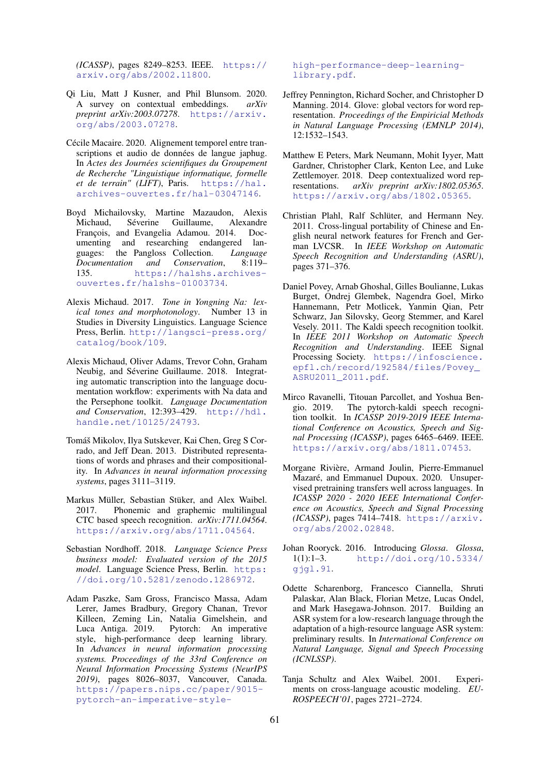*(ICASSP)*, pages 8249–8253. IEEE. [https://](https://arxiv.org/abs/2002.11800) [arxiv.org/abs/2002.11800](https://arxiv.org/abs/2002.11800).

- <span id="page-10-16"></span>Qi Liu, Matt J Kusner, and Phil Blunsom. 2020. A survey on contextual embeddings. *arXiv preprint arXiv:2003.07278*. [https://arxiv.](https://arxiv.org/abs/2003.07278) [org/abs/2003.07278](https://arxiv.org/abs/2003.07278).
- <span id="page-10-5"></span>Cécile Macaire. 2020. Alignement temporel entre transcriptions et audio de données de langue japhug. In *Actes des Journées scientifiques du Groupement de Recherche "Linguistique informatique, formelle et de terrain" (LIFT)*, Paris. [https://hal.](https://hal.archives-ouvertes.fr/hal-03047146) [archives-ouvertes.fr/hal-03047146](https://hal.archives-ouvertes.fr/hal-03047146).
- <span id="page-10-2"></span>Boyd Michailovsky, Martine Mazaudon, Alexis Michaud, Séverine Guillaume, Alexandre François, and Evangelia Adamou. 2014. Documenting and researching endangered languages: the Pangloss Collection. *Language Documentation and Conservation*, 8:119– 135. [https://halshs.archives](https://halshs.archives-ouvertes.fr/halshs-01003734)[ouvertes.fr/halshs-01003734](https://halshs.archives-ouvertes.fr/halshs-01003734).
- <span id="page-10-4"></span>Alexis Michaud. 2017. *Tone in Yongning Na: lexical tones and morphotonology*. Number 13 in Studies in Diversity Linguistics. Language Science Press, Berlin. [http://langsci-press.org/](http://langsci-press.org/catalog/book/109) [catalog/book/109](http://langsci-press.org/catalog/book/109).
- <span id="page-10-8"></span>Alexis Michaud, Oliver Adams, Trevor Cohn, Graham Neubig, and Séverine Guillaume. 2018. Integrating automatic transcription into the language documentation workflow: experiments with Na data and the Persephone toolkit. *Language Documentation and Conservation*, 12:393–429. [http://hdl.](http://hdl.handle.net/10125/24793) [handle.net/10125/24793](http://hdl.handle.net/10125/24793).
- <span id="page-10-13"></span>Tomáš Mikolov, Ilya Sutskever, Kai Chen, Greg S Corrado, and Jeff Dean. 2013. Distributed representations of words and phrases and their compositionality. In *Advances in neural information processing systems*, pages 3111–3119.
- <span id="page-10-12"></span>Markus Müller, Sebastian Stüker, and Alex Waibel. 2017. Phonemic and graphemic multilingual CTC based speech recognition. *arXiv:1711.04564*. <https://arxiv.org/abs/1711.04564>.
- <span id="page-10-7"></span>Sebastian Nordhoff. 2018. *Language Science Press business model: Evaluated version of the 2015 model.* Language Science Press, Berlin. [https:](https://doi.org/10.5281/zenodo.1286972) [//doi.org/10.5281/zenodo.1286972](https://doi.org/10.5281/zenodo.1286972).
- <span id="page-10-3"></span>Adam Paszke, Sam Gross, Francisco Massa, Adam Lerer, James Bradbury, Gregory Chanan, Trevor Killeen, Zeming Lin, Natalia Gimelshein, and Luca Antiga. 2019. Pytorch: An imperative style, high-performance deep learning library. In *Advances in neural information processing systems. Proceedings of the 33rd Conference on Neural Information Processing Systems (NeurIPS 2019)*, pages 8026–8037, Vancouver, Canada. [https://papers.nips.cc/paper/9015](https://papers.nips.cc/paper/9015-pytorch-an-imperative-style-high-performance-deep-learning -library.pdf) [pytorch-an-imperative-style-](https://papers.nips.cc/paper/9015-pytorch-an-imperative-style-high-performance-deep-learning -library.pdf)

[high-performance-deep-learning](https://papers.nips.cc/paper/9015-pytorch-an-imperative-style-high-performance-deep-learning -library.pdf)[library.pdf](https://papers.nips.cc/paper/9015-pytorch-an-imperative-style-high-performance-deep-learning -library.pdf).

- <span id="page-10-14"></span>Jeffrey Pennington, Richard Socher, and Christopher D Manning. 2014. Glove: global vectors for word representation. *Proceedings of the Empiricial Methods in Natural Language Processing (EMNLP 2014)*, 12:1532–1543.
- <span id="page-10-15"></span>Matthew E Peters, Mark Neumann, Mohit Iyyer, Matt Gardner, Christopher Clark, Kenton Lee, and Luke Zettlemoyer. 2018. Deep contextualized word representations. *arXiv preprint arXiv:1802.05365*. <https://arxiv.org/abs/1802.05365>.
- <span id="page-10-10"></span>Christian Plahl, Ralf Schlüter, and Hermann Ney. 2011. Cross-lingual portability of Chinese and English neural network features for French and German LVCSR. In *IEEE Workshop on Automatic Speech Recognition and Understanding (ASRU)*, pages 371–376.
- <span id="page-10-1"></span>Daniel Povey, Arnab Ghoshal, Gilles Boulianne, Lukas Burget, Ondrej Glembek, Nagendra Goel, Mirko Hannemann, Petr Motlicek, Yanmin Qian, Petr Schwarz, Jan Silovsky, Georg Stemmer, and Karel Vesely. 2011. The Kaldi speech recognition toolkit. In *IEEE 2011 Workshop on Automatic Speech Recognition and Understanding*. IEEE Signal Processing Society. [https://infoscience.](https://infoscience.epfl.ch/record/192584/files/Povey_ASRU2011_2011.pdf) [epfl.ch/record/192584/files/Povey\\_](https://infoscience.epfl.ch/record/192584/files/Povey_ASRU2011_2011.pdf) [ASRU2011\\_2011.pdf](https://infoscience.epfl.ch/record/192584/files/Povey_ASRU2011_2011.pdf).
- <span id="page-10-0"></span>Mirco Ravanelli, Titouan Parcollet, and Yoshua Bengio. 2019. The pytorch-kaldi speech recognition toolkit. In *ICASSP 2019-2019 IEEE International Conference on Acoustics, Speech and Signal Processing (ICASSP)*, pages 6465–6469. IEEE. <https://arxiv.org/abs/1811.07453>.
- <span id="page-10-17"></span>Morgane Rivière, Armand Joulin, Pierre-Emmanuel Mazaré, and Emmanuel Dupoux. 2020. Unsupervised pretraining transfers well across languages. In *ICASSP 2020 - 2020 IEEE International Conference on Acoustics, Speech and Signal Processing (ICASSP)*, pages 7414–7418. [https://arxiv.](https://arxiv.org/abs/2002.02848) [org/abs/2002.02848](https://arxiv.org/abs/2002.02848).
- <span id="page-10-6"></span>Johan Rooryck. 2016. Introducing *Glossa*. *Glossa*, [http://doi.org/10.5334/](http://doi.org/10.5334/gjgl.91) [gjgl.91](http://doi.org/10.5334/gjgl.91).
- <span id="page-10-11"></span>Odette Scharenborg, Francesco Ciannella, Shruti Palaskar, Alan Black, Florian Metze, Lucas Ondel, and Mark Hasegawa-Johnson. 2017. Building an ASR system for a low-research language through the adaptation of a high-resource language ASR system: preliminary results. In *International Conference on Natural Language, Signal and Speech Processing (ICNLSSP)*.
- <span id="page-10-9"></span>Tanja Schultz and Alex Waibel. 2001. Experiments on cross-language acoustic modeling. *EU-ROSPEECH'01*, pages 2721–2724.